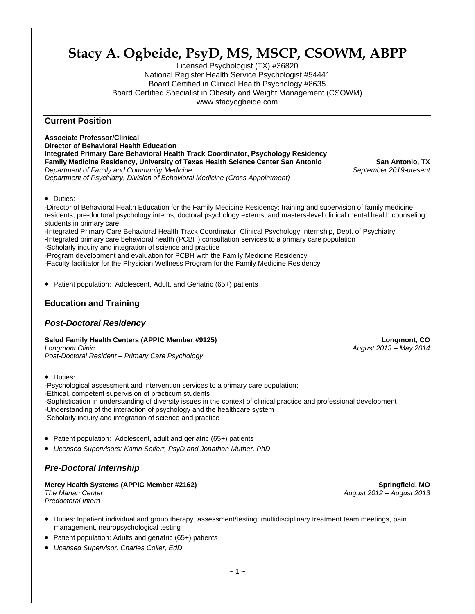# **Stacy A. Ogbeide, PsyD, MS, MSCP, CSOWM, ABPP**

Licensed Psychologist (TX) #36820 National Register Health Service Psychologist #54441 Board Certified in Clinical Health Psychology #8635 Board Certified Specialist in Obesity and Weight Management (CSOWM) www.stacyogbeide.com

# **Current Position**

**Associate Professor/Clinical Director of Behavioral Health Education Integrated Primary Care Behavioral Health Track Coordinator, Psychology Residency Family Medicine Residency, University of Texas Health Science Center San Antonio** San Antonio, TX *Department of Family and Community Medicine September 2019-present Department of Psychiatry, Division of Behavioral Medicine (Cross Appointment)*

• Duties:

-Director of Behavioral Health Education for the Family Medicine Residency: training and supervision of family medicine residents, pre-doctoral psychology interns, doctoral psychology externs, and masters-level clinical mental health counseling students in primary care

-Integrated Primary Care Behavioral Health Track Coordinator, Clinical Psychology Internship, Dept. of Psychiatry

-Integrated primary care behavioral health (PCBH) consultation services to a primary care population

-Scholarly inquiry and integration of science and practice

-Program development and evaluation for PCBH with the Family Medicine Residency

-Faculty facilitator for the Physician Wellness Program for the Family Medicine Residency

• Patient population: Adolescent, Adult, and Geriatric (65+) patients

# **Education and Training**

# *Post-Doctoral Residency*

**Salud Family Health Centers (APPIC Member #9125) Longmont, CO** *Longmont Clinic August 2013 – May 2014*

*Post-Doctoral Resident – Primary Care Psychology*

• Duties:

-Psychological assessment and intervention services to a primary care population; -Ethical, competent supervision of practicum students -Sophistication in understanding of diversity issues in the context of clinical practice and professional development -Understanding of the interaction of psychology and the healthcare system

-Scholarly inquiry and integration of science and practice

- Patient population: Adolescent, adult and geriatric (65+) patients
- *Licensed Supervisors: Katrin Seifert, PsyD and Jonathan Muther, PhD*

# *Pre-Doctoral Internship*

**Mercy Health Systems (APPIC Member #2162) Springfield, MO** *The Marian Center August 2012 – August 2013 Predoctoral Intern*

- Duties: Inpatient individual and group therapy, assessment/testing, multidisciplinary treatment team meetings, pain management, neuropsychological testing
- Patient population: Adults and geriatric (65+) patients
- *Licensed Supervisor: Charles Coller, EdD*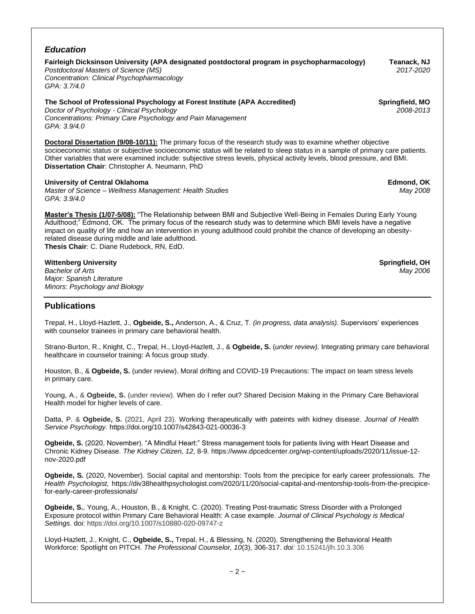| <b>Education</b>                                                                                                                                                                                                                                                                                                                                                                 |                              |
|----------------------------------------------------------------------------------------------------------------------------------------------------------------------------------------------------------------------------------------------------------------------------------------------------------------------------------------------------------------------------------|------------------------------|
| Fairleigh Dicksinson University (APA designated postdoctoral program in psychopharmacology)<br>Postdoctoral Masters of Science (MS)<br>Concentration: Clinical Psychopharmacology<br>GPA: 3.7/4.0                                                                                                                                                                                | Teanack, NJ<br>2017-2020     |
| The School of Professional Psychology at Forest Institute (APA Accredited)<br>Doctor of Psychology - Clinical Psychology<br>Concentrations: Primary Care Psychology and Pain Management<br>GPA: 3.9/4.0                                                                                                                                                                          | Springfield, MO<br>2008-2013 |
| <b>Doctoral Dissertation (9/08-10/11):</b> The primary focus of the research study was to examine whether objective<br>socioeconomic status or subjective socioeconomic status will be related to sleep status in a sample of primary care patients.<br>Other variables that were examined include: subjective stress levels, physical activity levels, blood pressure, and BMI. |                              |

**Dissertation Chair**: Christopher A. Neumann, PhD

**University of Central Oklahoma Edmond, OK**

*Master of Science – Wellness Management: Health Studies May 2008 GPA: 3.9/4.0*

**Master's Thesis (1/07-5/08):** "The Relationship between BMI and Subjective Well-Being in Females During Early Young Adulthood;" Edmond, OK. The primary focus of the research study was to determine which BMI levels have a negative impact on quality of life and how an intervention in young adulthood could prohibit the chance of developing an obesityrelated disease during middle and late adulthood. **Thesis Chair**: C. Diane Rudebock, RN, EdD.

### **Wittenberg University Springfield, OH**

*Bachelor of Arts May 2006 Major: Spanish Literature Minors: Psychology and Biology*

**Publications**

Trepal, H., Lloyd-Hazlett, J., **Ogbeide, S.,** Anderson, A., & Cruz, T*. (in progress, data analysis).* Supervisors' experiences with counselor trainees in primary care behavioral health.

Strano-Burton, R., Knight, C., Trepal, H., Lloyd-Hazlett, J., & **Ogbeide, S.** (*under review).* Integrating primary care behavioral healthcare in counselor training: A focus group study.

Houston, B., & **Ogbeide, S.** (under review). Moral drifting and COVID-19 Precautions: The impact on team stress levels in primary care.

Young, A., & **Ogbeide, S.** (under review). When do I refer out? Shared Decision Making in the Primary Care Behavioral Health model for higher levels of care.

Datta, P. & **Ogbeide, S.** (2021, April 23). Working therapeutically with pateints with kidney disease. *Journal of Health Service Psychology.* https://doi.org/10.1007/s42843-021-00036-3

**Ogbeide, S.** (2020, November). "A Mindful Heart:" Stress management tools for patients living with Heart Disease and Chronic Kidney Disease. *The Kidney Citizen, 12*, 8-9. https://www.dpcedcenter.org/wp-content/uploads/2020/11/issue-12 nov-2020.pdf

**Ogbeide, S.** (2020, November). Social capital and mentorship: Tools from the precipice for early career professionals. *The Health Psychologist,* https://div38healthpsychologist.com/2020/11/20/social-capital-and-mentorship-tools-from-the-precipicefor-early-career-professionals/

**Ogbeide, S.**, Young, A., Houston, B., & Knight, C. (2020). Treating Post-traumatic Stress Disorder with a Prolonged Exposure protocol within Primary Care Behavioral Health: A case example. *Journal of Clinical Psychology is Medical Settings.* doi: https://doi.org/10.1007/s10880-020-09747-z

Lloyd-Hazlett, J., Knight, C., **Ogbeide, S.,** Trepal, H., & Blessing, N. (2020). Strengthening the Behavioral Health Workforce: Spotlight on PITCH. *The Professional Counselor, 10*(3), 306-317. *doi:* 10.15241/jlh.10.3.306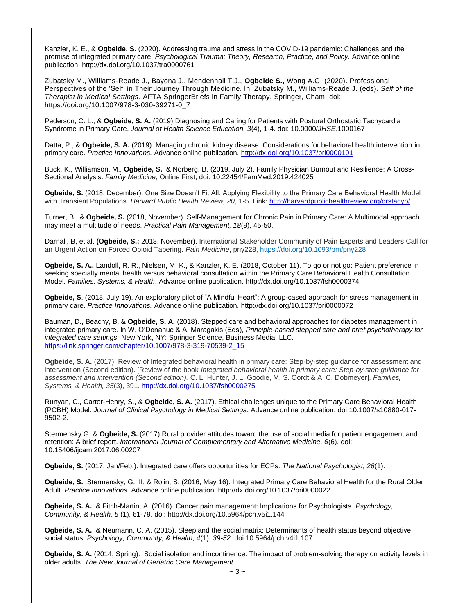Kanzler, K. E., & **Ogbeide, S.** (2020). Addressing trauma and stress in the COVID-19 pandemic: Challenges and the promise of integrated primary care. *Psychological Trauma: Theory, Research, Practice, and Policy.* Advance online publication[. http://dx.doi.org/10.1037/tra0000761](http://dx.doi.org/10.1037/tra0000761)

Zubatsky M., Williams-Reade J., Bayona J., Mendenhall T.J., **Ogbeide S.,** Wong A.G. (2020). Professional Perspectives of the 'Self' in Their Journey Through Medicine. In: Zubatsky M., Williams-Reade J. (eds). *Self of the Therapist in Medical Settings.* AFTA SpringerBriefs in Family Therapy. Springer, Cham. doi: https://doi.org/10.1007/978-3-030-39271-0\_7

Pederson, C. L., & **Ogbeide, S. A.** (2019) Diagnosing and Caring for Patients with Postural Orthostatic Tachycardia Syndrome in Primary Care. *Journal of Health Science Education, 3*(4), 1-4. doi: 10.0000/*JHSE*.1000167

Datta, P., & **Ogbeide, S. A.** (2019). Managing chronic kidney disease: Considerations for behavioral health intervention in primary care. *Practice Innovations.* Advance online publication. <http://dx.doi.org/10.1037/pri0000101>

Buck, K., Williamson, M., **Ogbeide, S.** & Norberg, B. (2019, July 2). Family Physician Burnout and Resilience: A Cross-Sectional Analysis. *Family Medicine*, Online First, doi: 10.22454/FamMed.2019.424025

**Ogbeide, S.** (2018, December). One Size Doesn't Fit All: Applying Flexibility to the Primary Care Behavioral Health Model with Transient Populations. *Harvard Public Health Review, 20*, 1-5. Link:<http://harvardpublichealthreview.org/drstacyo/>

Turner, B., & **Ogbeide, S.** (2018, November). Self-Management for Chronic Pain in Primary Care: A Multimodal approach may meet a multitude of needs. *Practical Pain Management, 18*(9), 45-50.

Darnall, B, et al. **(Ogbeide, S.;** 2018, November). International Stakeholder Community of Pain Experts and Leaders Call for an Urgent Action on Forced Opioid Tapering. *Pain Medicine*, pny228,<https://doi.org/10.1093/pm/pny228>

**Ogbeide, S. A.,** Landoll, R. R., Nielsen, M. K., & Kanzler, K. E. (2018, October 11). To go or not go: Patient preference in seeking specialty mental health versus behavioral consultation within the Primary Care Behavioral Health Consultation Model. *Families, Systems, & Health*. Advance online publication[. http://dx.doi.org/10.1037/fsh0000374](http://dx.doi.org/10.1037/fsh0000374)

**Ogbeide, S**. (2018, July 19). An exploratory pilot of "A Mindful Heart": A group-cased approach for stress management in primary care. *Practice Innovations.* Advance online publication. http://dx.doi.org/10.1037/pri0000072

Bauman, D., Beachy, B, & **Ogbeide, S. A.** (2018). Stepped care and behavioral approaches for diabetes management in integrated primary care. In W. O'Donahue & A. Maragakis (Eds), *Principle-based stepped care and brief psychotherapy for integrated care settings.* New York, NY: Springer Science, Business Media, LLC. [https://link.springer.com/chapter/10.1007/978-3-319-70539-2\\_15](https://link.springer.com/chapter/10.1007/978-3-319-70539-2_15)

**Ogbeide, S. A.** (2017). Review of Integrated behavioral health in primary care: Step-by-step guidance for assessment and intervention (Second edition). [Review of the book *Integrated behavioral health in primary care: Step-by-step guidance for assessment and intervention (Second edition).* C. L. Hunter, J. L. Goodie, M. S. Oordt & A. C. Dobmeyer]. *Families, Systems, & Health, 35*(3), 391[. http://dx.doi.org/10.1037/fsh0000275](http://psycnet.apa.org/doi/10.1037/fsh0000275)

Runyan, C., Carter-Henry, S., & **Ogbeide, S. A.** (2017). Ethical challenges unique to the Primary Care Behavioral Health (PCBH) Model. *Journal of Clinical Psychology in Medical Settings.* Advance online publication. doi:10.1007/s10880-017- 9502-2.

Stermensky G, & **Ogbeide, S.** (2017) Rural provider attitudes toward the use of social media for patient engagement and retention: A brief report. *International Journal of Complementary and Alternative Medicine, 6*(6). doi: 10.15406/ijcam.2017.06.00207

**Ogbeide, S.** (2017, Jan/Feb.). Integrated care offers opportunities for ECPs. *The National Psychologist, 26*(1).

**Ogbeide, S.**, Stermensky, G., II, & Rolin, S. (2016, May 16). Integrated Primary Care Behavioral Health for the Rural Older Adult. *Practice Innovations*. Advance online publication. http://dx.doi.org/10.1037/pri0000022

**Ogbeide, S. A.**, & Fitch-Martin, A. (2016). Cancer pain management: Implications for Psychologists. *Psychology, Community, & Health, 5* (1), 61-79. doi: http://dx.doi.org/10.5964/pch.v5i1.144

**Ogbeide, S. A.**, & Neumann, C. A. (2015). Sleep and the social matrix: Determinants of health status beyond objective social status. *Psychology, Community, & Health, 4*(1), *39-52.* doi:10.5964/pch.v4i1.107

**Ogbeide, S. A.** (2014, Spring). Social isolation and incontinence: The impact of problem-solving therapy on activity levels in older adults. *The New Journal of Geriatric Care Management.*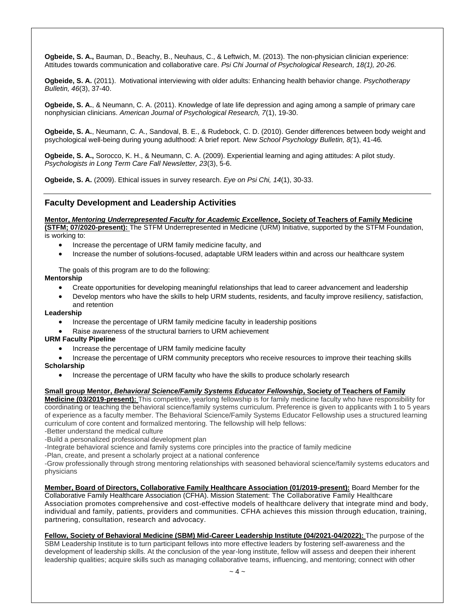**Ogbeide, S. A.,** Bauman, D., Beachy, B., Neuhaus, C., & Leftwich, M. (2013). The non-physician clinician experience: Attitudes towards communication and collaborative care. *Psi Chi Journal of Psychological Research, 18(1), 20-26.*

**Ogbeide, S. A.** (2011). Motivational interviewing with older adults: Enhancing health behavior change. *Psychotherapy Bulletin, 46*(3), 37-40.

**Ogbeide, S. A.**, & Neumann, C. A. (2011). Knowledge of late life depression and aging among a sample of primary care nonphysician clinicians. *American Journal of Psychological Research, 7*(1), 19-30.

**Ogbeide, S. A.**, Neumann, C. A., Sandoval, B. E., & Rudebock, C. D. (2010). Gender differences between body weight and psychological well-being during young adulthood: A brief report. *New School Psychology Bulletin, 8(*1), 41-46*.*

**Ogbeide, S. A.,** Sorocco, K. H., & Neumann, C. A. (2009). Experiential learning and aging attitudes: A pilot study. *Psychologists in Long Term Care Fall Newsletter, 23*(3), 5-6.

**Ogbeide, S. A.** (2009). Ethical issues in survey research. *Eye on Psi Chi, 14*(1), 30-33.

### **Faculty Development and Leadership Activities**

**Mentor,** *Mentoring Underrepresented Faculty for Academic Excellence***, Society of Teachers of Family Medicine (STFM; 07/2020-present):** The STFM Underrepresented in Medicine (URM) Initiative, supported by the STFM Foundation,

is working to:

- Increase the percentage of URM family medicine faculty, and
- Increase the number of solutions-focused, adaptable URM leaders within and across our healthcare system

The goals of this program are to do the following:

**Mentorship**

- Create opportunities for developing meaningful relationships that lead to career advancement and leadership
- Develop mentors who have the skills to help URM students, residents, and faculty improve resiliency, satisfaction, and retention

#### **Leadership**

- Increase the percentage of URM family medicine faculty in leadership positions
- Raise awareness of the structural barriers to URM achievement

#### **URM Faculty Pipeline**

- Increase the percentage of URM family medicine faculty
- Increase the percentage of URM community preceptors who receive resources to improve their teaching skills

#### **Scholarship**

• Increase the percentage of URM faculty who have the skills to produce scholarly research

#### **Small group Mentor,** *Behavioral Science/Family Systems Educator Fellowship***, Society of Teachers of Family**

**Medicine (03/2019-present):** This competitive, yearlong fellowship is for family medicine faculty who have responsibility for coordinating or teaching the behavioral science/family systems curriculum. Preference is given to applicants with 1 to 5 years of experience as a faculty member. The Behavioral Science/Family Systems Educator Fellowship uses a structured learning curriculum of core content and formalized mentoring. The fellowship will help fellows:

-Better understand the medical culture

-Build a personalized professional development plan

partnering, consultation, research and advocacy.

-Integrate behavioral science and family systems core principles into the practice of family medicine

-Plan, create, and present a scholarly project at a national conference

-Grow professionally through strong mentoring relationships with seasoned behavioral science/family systems educators and physicians

**Member, Board of Directors, Collaborative Family Healthcare Association (01/2019-present):** Board Member for the Collaborative Family Healthcare Association (CFHA). Mission Statement: The Collaborative Family Healthcare Association promotes comprehensive and cost-effective models of healthcare delivery that integrate mind and body, individual and family, patients, providers and communities. CFHA achieves this mission through education, training,

## Fellow, Society of Behavioral Medicine (SBM) Mid-Career Leadership Institute (04/2021-04/2022): The purpose of the

SBM Leadership Institute is to turn participant fellows into more effective leaders by fostering self-awareness and the development of leadership skills. At the conclusion of the year-long institute, fellow will assess and deepen their inherent leadership qualities; acquire skills such as managing collaborative teams, influencing, and mentoring; connect with other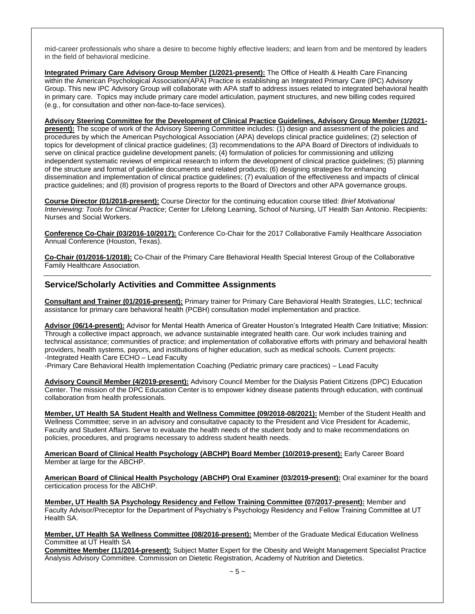mid-career professionals who share a desire to become highly effective leaders; and learn from and be mentored by leaders in the field of behavioral medicine.

**Integrated Primary Care Advisory Group Member (1/2021-present):** The Office of Health & Health Care Financing within the American Psychological Association(APA) Practice is establishing an Integrated Primary Care (IPC) Advisory Group. This new IPC Advisory Group will collaborate with APA staff to address issues related to integrated behavioral health in primary care. Topics may include primary care model articulation, payment structures, and new billing codes required (e.g., for consultation and other non-face-to-face services).

**Advisory Steering Committee for the Development of Clinical Practice Guidelines, Advisory Group Member (1/2021 present):** The scope of work of the Advisory Steering Committee includes: (1) design and assessment of the policies and procedures by which the American Psychological Association (APA) develops clinical practice guidelines; (2) selection of topics for development of clinical practice guidelines; (3) recommendations to the APA Board of Directors of individuals to serve on clinical practice guideline development panels; (4) formulation of policies for commissioning and utilizing independent systematic reviews of empirical research to inform the development of clinical practice guidelines; (5) planning of the structure and format of guideline documents and related products; (6) designing strategies for enhancing dissemination and implementation of clinical practice guidelines; (7) evaluation of the effectiveness and impacts of clinical practice guidelines; and (8) provision of progress reports to the Board of Directors and other APA governance groups.

**Course Director (01/2018-present):** Course Director for the continuing education course titled: *Brief Motivational Interviewing: Tools for Clinical Practice*; Center for Lifelong Learning, School of Nursing, UT Health San Antonio. Recipients: Nurses and Social Workers.

**Conference Co-Chair (03/2016-10/2017):** Conference Co-Chair for the 2017 Collaborative Family Healthcare Association Annual Conference (Houston, Texas).

**Co-Chair (01/2016-1/2018):** Co-Chair of the Primary Care Behavioral Health Special Interest Group of the Collaborative Family Healthcare Association.

## **Service/Scholarly Activities and Committee Assignments**

**Consultant and Trainer (01/2016-present):** Primary trainer for Primary Care Behavioral Health Strategies, LLC; technical assistance for primary care behavioral health (PCBH) consultation model implementation and practice.

**Advisor (06/14-present):** Advisor for Mental Health America of Greater Houston's Integrated Health Care Initiative; Mission: Through a collective impact approach, we advance sustainable integrated health care. Our work includes training and technical assistance; communities of practice; and implementation of collaborative efforts with primary and behavioral health providers, health systems, payors, and institutions of higher education, such as medical schools. Current projects: -Integrated Health Care ECHO – Lead Faculty

-Primary Care Behavioral Health Implementation Coaching (Pediatric primary care practices) – Lead Faculty

**Advisory Council Member (4/2019-present):** Advisory Council Member for the Dialysis Patient Citizens (DPC) Education Center. The mission of the DPC Education Center is to empower kidney disease patients through education, with continual collaboration from health professionals.

**Member, UT Health SA Student Health and Wellness Committee (09/2018-08/2021):** Member of the Student Health and Wellness Committee; serve in an advisory and consultative capacity to the President and Vice President for Academic, Faculty and Student Affairs. Serve to evaluate the health needs of the student body and to make recommendations on policies, procedures, and programs necessary to address student health needs.

**American Board of Clinical Health Psychology (ABCHP) Board Member (10/2019-present):** Early Career Board Member at large for the ABCHP.

**American Board of Clinical Health Psychology (ABCHP) Oral Examiner (03/2019-present):** Oral examiner for the board certicication process for the ABCHP.

**Member, UT Health SA Psychology Residency and Fellow Training Committee (07/2017-present):** Member and Faculty Advisor/Preceptor for the Department of Psychiatry's Psychology Residency and Fellow Training Committee at UT Health SA.

**Member, UT Health SA Wellness Committee (08/2016-present):** Member of the Graduate Medical Education Wellness Committee at UT Health SA

**Committee Member (11/2014-present):** Subject Matter Expert for the Obesity and Weight Management Specialist Practice Analysis Advisory Committee. Commission on Dietetic Registration, Academy of Nutrition and Dietetics.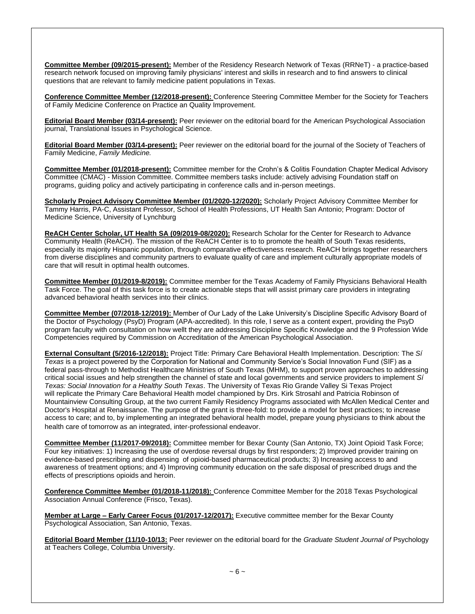**Committee Member (09/2015-present):** Member of the Residency Research Network of Texas (RRNeT) - a practice-based research network focused on improving family physicians' interest and skills in research and to find answers to clinical questions that are relevant to family medicine patient populations in Texas.

**Conference Committee Member (12/2018-present):** Conference Steering Committee Member for the Society for Teachers of Family Medicine Conference on Practice an Quality Improvement.

**Editorial Board Member (03/14-present):** Peer reviewer on the editorial board for the American Psychological Association journal, Translational Issues in Psychological Science*.*

**Editorial Board Member (03/14-present):** Peer reviewer on the editorial board for the journal of the Society of Teachers of Family Medicine, *Family Medicine.*

**Committee Member (01/2018-present):** Committee member for the Crohn's & Colitis Foundation Chapter Medical Advisory Committee (CMAC) - Mission Committee. Committee members tasks include: actively advising Foundation staff on programs, guiding policy and actively participating in conference calls and in-person meetings.

**Scholarly Project Advisory Committee Member (01/2020-12/2020):** Scholarly Project Advisory Committee Member for Tammy Harris, PA-C, Assistant Professor, School of Health Professions, UT Health San Antonio; Program: Doctor of Medicine Science, University of Lynchburg

**ReACH Center Scholar, UT Health SA (09/2019-08/2020):** Research Scholar for the Center for Research to Advance Community Health (ReACH). The mission of the ReACH Center is to to promote the health of South Texas residents, especially its majority Hispanic population, through comparative effectiveness research. ReACH brings together researchers from diverse disciplines and community partners to evaluate quality of care and implement culturally appropriate models of care that will result in optimal health outcomes.

**Committee Member (01/2019-8/2019):** Committee member for the Texas Academy of Family Physicians Behavioral Health Task Force. The goal of this task force is to create actionable steps that will assist primary care providers in integrating advanced behavioral health services into their clinics.

**Committee Member (07/2018-12/2019):** Member of Our Lady of the Lake University's Discipline Specific Advisory Board of the Doctor of Psychology (PsyD) Program (APA-accredited). In this role, I serve as a content expert, providing the PsyD program faculty with consultation on how wellt they are addressing Discipline Specific Knowledge and the 9 Profession Wide Competencies required by Commission on Accreditation of the American Psychological Association.

**External Consultant (5/2016-12/2018):** Project Title: Primary Care Behavioral Health Implementation. Description: The *Sí Texas* is a project powered by the Corporation for National and Community Service's Social Innovation Fund (SIF) as a federal pass-through to Methodist Healthcare Ministries of South Texas (MHM), to support proven approaches to addressing critical social issues and help strengthen the channel of state and local governments and service providers to implement *Sí Texas: Social Innovation for a Healthy South Texas*. The University of Texas Rio Grande Valley Si Texas Project will replicate the Primary Care Behavioral Health model championed by Drs. Kirk Strosahl and Patricia Robinson of Mountainview Consulting Group, at the two current Family Residency Programs associated with McAllen Medical Center and Doctor's Hospital at Renaissance. The purpose of the grant is three-fold: to provide a model for best practices; to increase access to care; and to, by implementing an integrated behavioral health model, prepare young physicians to think about the health care of tomorrow as an integrated, inter-professional endeavor.

**Committee Member (11/2017-09/2018):** Committee member for Bexar County (San Antonio, TX) Joint Opioid Task Force; Four key initiatives: 1) Increasing the use of overdose reversal drugs by first responders; 2) Improved provider training on evidence-based prescribing and dispensing of opioid-based pharmaceutical products; 3) Increasing access to and awareness of treatment options; and 4) Improving community education on the safe disposal of prescribed drugs and the effects of prescriptions opioids and heroin.

**Conference Committee Member (01/2018-11/2018):** Conference Committee Member for the 2018 Texas Psychological Association Annual Conference (Frisco, Texas).

**Member at Large – Early Career Focus (01/2017-12/2017):** Executive committee member for the Bexar County Psychological Association, San Antonio, Texas.

**Editorial Board Member (11/10-10/13:** Peer reviewer on the editorial board for the *Graduate Student Journal of* Psychology at Teachers College, Columbia University.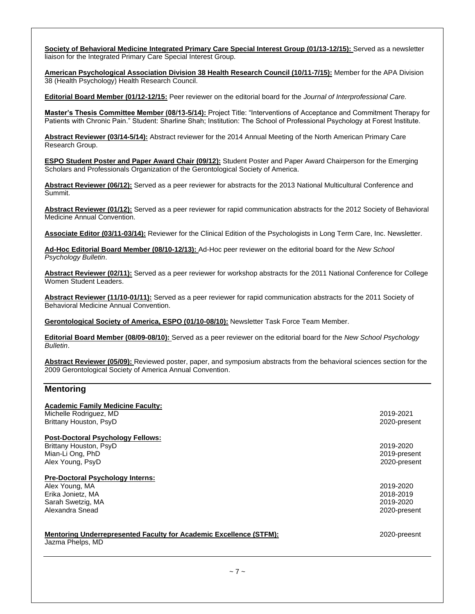**Society of Behavioral Medicine Integrated Primary Care Special Interest Group (01/13-12/15):** Served as a newsletter liaison for the Integrated Primary Care Special Interest Group.

**American Psychological Association Division 38 Health Research Council (10/11-7/15):** Member for the APA Division 38 (Health Psychology) Health Research Council.

**Editorial Board Member (01/12-12/15:** Peer reviewer on the editorial board for the *Journal of Interprofessional Care.*

**Master's Thesis Committee Member (08/13-5/14):** Project Title: "Interventions of Acceptance and Commitment Therapy for Patients with Chronic Pain." Student: Sharline Shah; Institution: The School of Professional Psychology at Forest Institute.

**Abstract Reviewer (03/14-5/14):** Abstract reviewer for the 2014 Annual Meeting of the North American Primary Care Research Group.

**ESPO Student Poster and Paper Award Chair (09/12):** Student Poster and Paper Award Chairperson for the Emerging Scholars and Professionals Organization of the Gerontological Society of America.

**Abstract Reviewer (06/12):** Served as a peer reviewer for abstracts for the 2013 National Multicultural Conference and Summit.

**Abstract Reviewer (01/12):** Served as a peer reviewer for rapid communication abstracts for the 2012 Society of Behavioral Medicine Annual Convention.

**Associate Editor (03/11-03/14):** Reviewer for the Clinical Edition of the Psychologists in Long Term Care, Inc. Newsletter.

**Ad-Hoc Editorial Board Member (08/10-12/13):** Ad-Hoc peer reviewer on the editorial board for the *New School Psychology Bulletin*.

**Abstract Reviewer (02/11):** Served as a peer reviewer for workshop abstracts for the 2011 National Conference for College Women Student Leaders.

**Abstract Reviewer (11/10-01/11):** Served as a peer reviewer for rapid communication abstracts for the 2011 Society of Behavioral Medicine Annual Convention.

**Gerontological Society of America, ESPO (01/10-08/10):** Newsletter Task Force Team Member.

**Editorial Board Member (08/09-08/10):** Served as a peer reviewer on the editorial board for the *New School Psychology Bulletin*.

**Abstract Reviewer (05/09):** Reviewed poster, paper, and symposium abstracts from the behavioral sciences section for the 2009 Gerontological Society of America Annual Convention.

### **Mentoring**

| <b>Academic Family Medicine Faculty:</b>                                  |              |
|---------------------------------------------------------------------------|--------------|
| Michelle Rodriguez, MD                                                    | 2019-2021    |
| Brittany Houston, PsyD                                                    | 2020-present |
|                                                                           |              |
| <b>Post-Doctoral Psychology Fellows:</b>                                  |              |
| Brittany Houston, PsyD                                                    | 2019-2020    |
| Mian-Li Ong, PhD                                                          | 2019-present |
| Alex Young, PsyD                                                          | 2020-present |
| <b>Pre-Doctoral Psychology Interns:</b>                                   |              |
| Alex Young, MA                                                            | 2019-2020    |
| Erika Jonietz, MA                                                         | 2018-2019    |
| Sarah Swetzig, MA                                                         | 2019-2020    |
| Alexandra Snead                                                           | 2020-present |
| <b>Mentoring Underrepresented Faculty for Academic Excellence (STFM):</b> | 2020-preesnt |
| Jazma Phelps, MD                                                          |              |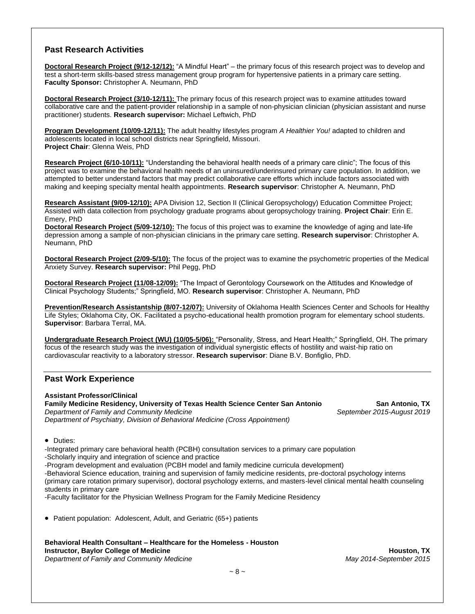# **Past Research Activities**

**Doctoral Research Project (9/12-12/12):** "A Mindful Heart" – the primary focus of this research project was to develop and test a short-term skills-based stress management group program for hypertensive patients in a primary care setting. **Faculty Sponsor:** Christopher A. Neumann, PhD

**Doctoral Research Project (3/10-12/11):** The primary focus of this research project was to examine attitudes toward collaborative care and the patient-provider relationship in a sample of non-physician clinician (physician assistant and nurse practitioner) students. **Research supervisor:** Michael Leftwich, PhD

**Program Development (10/09-12/11):** The adult healthy lifestyles program *A Healthier You!* adapted to children and adolescents located in local school districts near Springfield, Missouri. **Project Chair**: Glenna Weis, PhD

**Research Project (6/10-10/11):** "Understanding the behavioral health needs of a primary care clinic"; The focus of this project was to examine the behavioral health needs of an uninsured/underinsured primary care population. In addition, we attempted to better understand factors that may predict collaborative care efforts which include factors associated with making and keeping specialty mental health appointments. **Research supervisor**: Christopher A. Neumann, PhD

**Research Assistant (9/09-12/10):** APA Division 12, Section II (Clinical Geropsychology) Education Committee Project; Assisted with data collection from psychology graduate programs about geropsychology training. **Project Chair**: Erin E. Emery, PhD

**Doctoral Research Project (5/09-12/10):** The focus of this project was to examine the knowledge of aging and late-life depression among a sample of non-physician clinicians in the primary care setting. **Research supervisor**: Christopher A. Neumann, PhD

**Doctoral Research Project (2/09-5/10):** The focus of the project was to examine the psychometric properties of the Medical Anxiety Survey. **Research supervisor:** Phil Pegg, PhD

**Doctoral Research Project (11/08-12/09):** "The Impact of Gerontology Coursework on the Attitudes and Knowledge of Clinical Psychology Students;" Springfield, MO. **Research supervisor**: Christopher A. Neumann, PhD

**Prevention/Research Assistantship (8/07-12/07):** University of Oklahoma Health Sciences Center and Schools for Healthy Life Styles; Oklahoma City, OK. Facilitated a psycho-educational health promotion program for elementary school students. **Supervisor**: Barbara Terral, MA.

**Undergraduate Research Project (WU) (10/05-5/06):** "Personality, Stress, and Heart Health;" Springfield, OH. The primary focus of the research study was the investigation of individual synergistic effects of hostility and waist-hip ratio on cardiovascular reactivity to a laboratory stressor. **Research supervisor**: Diane B.V. Bonfiglio, PhD.

# **Past Work Experience**

**Assistant Professor/Clinical Family Medicine Residency, University of Texas Health Science Center San Antonio San Antonio, TX** *Department of Family and Community Medicine September 2015-August 2019 Department of Psychiatry, Division of Behavioral Medicine (Cross Appointment)*

• Duties:

-Integrated primary care behavioral health (PCBH) consultation services to a primary care population -Scholarly inquiry and integration of science and practice -Program development and evaluation (PCBH model and family medicine curricula development) -Behavioral Science education, training and supervision of family medicine residents, pre-doctoral psychology interns (primary care rotation primary supervisor), doctoral psychology externs, and masters-level clinical mental health counseling students in primary care

-Faculty facilitator for the Physician Wellness Program for the Family Medicine Residency

• Patient population: Adolescent, Adult, and Geriatric (65+) patients

**Behavioral Health Consultant – Healthcare for the Homeless - Houston Instructor, Baylor College of Medicine All and Security College of Medicine Houston, TX** *Department of Family and Community Medicine May 2014-September 2015*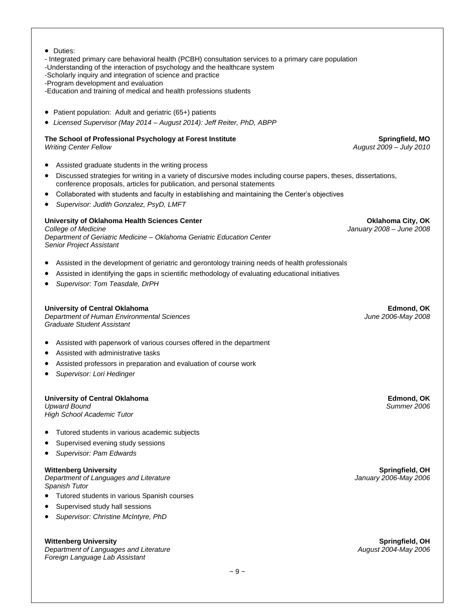• Duties:

- Integrated primary care behavioral health (PCBH) consultation services to a primary care population

-Understanding of the interaction of psychology and the healthcare system

-Scholarly inquiry and integration of science and practice

-Program development and evaluation

-Education and training of medical and health professions students

- Patient population: Adult and geriatric (65+) patients
- *Licensed Supervisor (May 2014 – August 2014): Jeff Reiter, PhD, ABPP*

# **The School of Professional Psychology at Forest Institute Springfield, MO**

- Assisted graduate students in the writing process
- Discussed strategies for writing in a variety of discursive modes including course papers, theses, dissertations, conference proposals, articles for publication, and personal statements
- Collaborated with students and faculty in establishing and maintaining the Center's objectives
- *Supervisor: Judith Gonzalez, PsyD, LMFT*

#### **University of Oklahoma Health Sciences Center Oklahoma City, OK**

*College of Medicine January 2008 – June 2008 Department of Geriatric Medicine – Oklahoma Geriatric Education Center Senior Project Assistant*

- Assisted in the development of geriatric and gerontology training needs of health professionals
- Assisted in identifying the gaps in scientific methodology of evaluating educational initiatives
- *Supervisor: Tom Teasdale, DrPH*

#### **University of Central Oklahoma Edmond, OK**

*Department of Human Environmental Sciences June 2006-May 2008 Graduate Student Assistant*

- Assisted with paperwork of various courses offered in the department
- Assisted with administrative tasks
- Assisted professors in preparation and evaluation of course work
- *Supervisor: Lori Hedinger*

# **University of Central Oklahoma Edmond, OK**

*Upward Bound High School Academic Tutor*

- Tutored students in various academic subjects
- Supervised evening study sessions
- *Supervisor: Pam Edwards*

*Department of Languages and Literature January 2006-May 2006 Spanish Tutor*

- Tutored students in various Spanish courses
- Supervised study hall sessions
- *Supervisor: Christine McIntyre, PhD*

*Department of Languages and Literature Foreign Language Lab Assistant*

**Wittenberg University Springfield, OH**

**Wittenberg University Springfield, OH**

*Writing Center Fellow August 2009 – July 2010*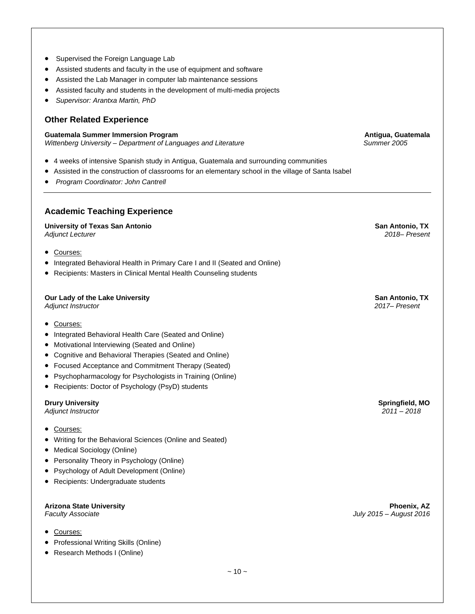- Supervised the Foreign Language Lab
- Assisted students and faculty in the use of equipment and software
- Assisted the Lab Manager in computer lab maintenance sessions
- Assisted faculty and students in the development of multi-media projects
- *Supervisor: Arantxa Martin, PhD*

# **Other Related Experience**

#### **Guatemala Summer Immersion Program Antigua, Guatemala Antigua, Guatemala**

*Wittenberg University – Department of Languages and Literature**Summer 2005*

- 4 weeks of intensive Spanish study in Antigua, Guatemala and surrounding communities
- Assisted in the construction of classrooms for an elementary school in the village of Santa Isabel
- *Program Coordinator: John Cantrell*

# **Academic Teaching Experience**

**University of Texas San Antonio San Antonio, TX** *Adjunct Lecturer 2018– Present*

- Courses:
- Integrated Behavioral Health in Primary Care I and II (Seated and Online)
- Recipients: Masters in Clinical Mental Health Counseling students

# **Our Lady of the Lake University San Antonio, TX** Antonio, TX

- Courses:
- Integrated Behavioral Health Care (Seated and Online)
- Motivational Interviewing (Seated and Online)
- Cognitive and Behavioral Therapies (Seated and Online)
- Focused Acceptance and Commitment Therapy (Seated)
- Psychopharmacology for Psychologists in Training (Online)
- Recipients: Doctor of Psychology (PsyD) students

#### **Drury University Springfield, MO**

*Adjunct Instructor 2011 – 2018*

- Courses:
- Writing for the Behavioral Sciences (Online and Seated)
- Medical Sociology (Online)
- Personality Theory in Psychology (Online)
- Psychology of Adult Development (Online)
- Recipients: Undergraduate students

#### **Arizona State University Phoenix, AZ**

- Courses:
- Professional Writing Skills (Online)
- Research Methods I (Online)

*Adjunct Instructor 2017– Present*

*Faculty Associate**July 2015 – August 2016*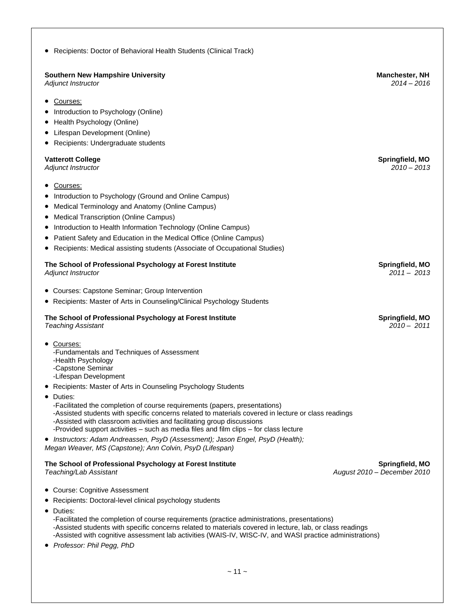| Recipients: Doctor of Behavioral Health Students (Clinical Track)                                                                                                                                                                                                                                                                                                                                      |                                                |
|--------------------------------------------------------------------------------------------------------------------------------------------------------------------------------------------------------------------------------------------------------------------------------------------------------------------------------------------------------------------------------------------------------|------------------------------------------------|
| <b>Southern New Hampshire University</b><br>Adjunct Instructor                                                                                                                                                                                                                                                                                                                                         | <b>Manchester, NH</b><br>$2014 - 2016$         |
| Courses:<br>٠<br>Introduction to Psychology (Online)<br>Health Psychology (Online)<br>٠<br>Lifespan Development (Online)<br>Recipients: Undergraduate students                                                                                                                                                                                                                                         |                                                |
| <b>Vatterott College</b><br>Adjunct Instructor                                                                                                                                                                                                                                                                                                                                                         | Springfield, MO<br>$2010 - 2013$               |
| Courses:<br>Introduction to Psychology (Ground and Online Campus)<br>Medical Terminology and Anatomy (Online Campus)<br>$\bullet$<br><b>Medical Transcription (Online Campus)</b><br>Introduction to Health Information Technology (Online Campus)<br>Patient Safety and Education in the Medical Office (Online Campus)<br>Recipients: Medical assisting students (Associate of Occupational Studies) |                                                |
| The School of Professional Psychology at Forest Institute<br>Adjunct Instructor                                                                                                                                                                                                                                                                                                                        | Springfield, MO<br>$2011 - 2013$               |
| • Courses: Capstone Seminar; Group Intervention                                                                                                                                                                                                                                                                                                                                                        |                                                |
| • Recipients: Master of Arts in Counseling/Clinical Psychology Students                                                                                                                                                                                                                                                                                                                                |                                                |
| The School of Professional Psychology at Forest Institute<br><b>Teaching Assistant</b>                                                                                                                                                                                                                                                                                                                 | Springfield, MO<br>$2010 - 2011$               |
| • Courses:<br>-Fundamentals and Techniques of Assessment<br>-Health Psychology<br>-Capstone Seminar<br>-Lifespan Development                                                                                                                                                                                                                                                                           |                                                |
| • Recipients: Master of Arts in Counseling Psychology Students                                                                                                                                                                                                                                                                                                                                         |                                                |
| $\bullet$<br>Duties:<br>-Facilitated the completion of course requirements (papers, presentations)<br>-Assisted students with specific concerns related to materials covered in lecture or class readings<br>-Assisted with classroom activities and facilitating group discussions<br>-Provided support activities – such as media files and film clips – for class lecture                           |                                                |
| • Instructors: Adam Andreassen, PsyD (Assessment); Jason Engel, PsyD (Health);<br>Megan Weaver, MS (Capstone); Ann Colvin, PsyD (Lifespan)                                                                                                                                                                                                                                                             |                                                |
| The School of Professional Psychology at Forest Institute<br>Teaching/Lab Assistant                                                                                                                                                                                                                                                                                                                    | Springfield, MO<br>August 2010 - December 2010 |
| • Course: Cognitive Assessment                                                                                                                                                                                                                                                                                                                                                                         |                                                |
| • Recipients: Doctoral-level clinical psychology students                                                                                                                                                                                                                                                                                                                                              |                                                |
| Duties:<br>٠<br>-Facilitated the completion of course requirements (practice administrations, presentations)<br>-Assisted students with specific concerns related to materials covered in lecture, lab, or class readings<br>-Assisted with cognitive assessment lab activities (WAIS-IV, WISC-IV, and WASI practice administrations)                                                                  |                                                |

• *Professor: Phil Pegg, PhD*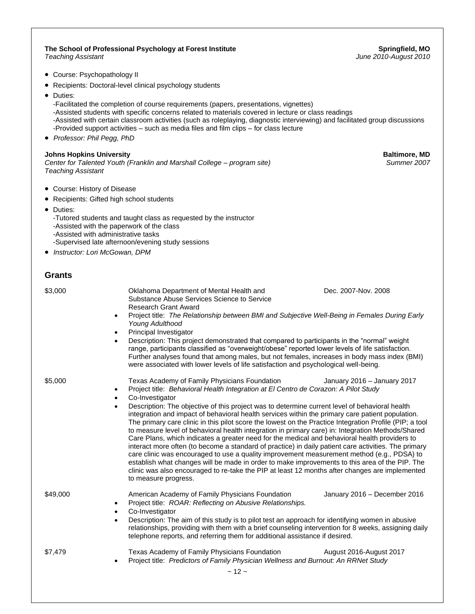$~12$  ~ **The School of Professional Psychology at Forest Institute Springfield, MO** *Teaching Assistant June 2010-August 2010* • Course: Psychopathology II • Recipients: Doctoral-level clinical psychology students • Duties: -Facilitated the completion of course requirements (papers, presentations, vignettes) -Assisted students with specific concerns related to materials covered in lecture or class readings -Assisted with certain classroom activities (such as roleplaying, diagnostic interviewing) and facilitated group discussions -Provided support activities – such as media files and film clips – for class lecture • *Professor: Phil Pegg, PhD* **Johns Hopkins University**<br>Center for Talented Youth (Franklin and Marshall College – program site) **Baltimore, MD**<br>Summer 2007 *Center for Talented Youth (Franklin and Marshall College – program site) Teaching Assistant* • Course: History of Disease • Recipients: Gifted high school students • Duties: -Tutored students and taught class as requested by the instructor -Assisted with the paperwork of the class -Assisted with administrative tasks -Supervised late afternoon/evening study sessions • *Instructor: Lori McGowan, DPM* **Grants** \$3,000 **Dec.** 2007-Nov. 2008 Oklahoma Department of Mental Health and **Dec. 2007-Nov. 2008** Substance Abuse Services Science to Service Research Grant Award • Project title: *The Relationship between BMI and Subjective Well-Being in Females During Early Young Adulthood* • Principal Investigator • Description: This project demonstrated that compared to participants in the "normal" weight range, participants classified as "overweight/obese" reported lower levels of life satisfaction. Further analyses found that among males, but not females, increases in body mass index (BMI) were associated with lower levels of life satisfaction and psychological well-being. \$5,000 Texas Academy of Family Physicians Foundation January 2016 – January 2017 • Project title: *Behavioral Health Integration at El Centro de Corazon: A Pilot Study* Co-Investigator • Description: The objective of this project was to determine current level of behavioral health integration and impact of behavioral health services within the primary care patient population. The primary care clinic in this pilot score the lowest on the Practice Integration Profile (PIP; a tool to measure level of behavioral health integration in primary care) in: Integration Methods/Shared Care Plans, which indicates a greater need for the medical and behavioral health providers to interact more often (to become a standard of practice) in daily patient care activities. The primary care clinic was encouraged to use a quality improvement measurement method (e.g., PDSA) to establish what changes will be made in order to make improvements to this area of the PIP. The clinic was also encouraged to re-take the PIP at least 12 months after changes are implemented to measure progress. \$49,000 American Academy of Family Physicians Foundation January 2016 – December 2016 • Project title: *ROAR: Reflecting on Abusive Relationships.* Co-Investigator • Description: The aim of this study is to pilot test an approach for identifying women in abusive relationships, providing with them with a brief counseling intervention for 8 weeks, assigning daily telephone reports, and referring them for additional assistance if desired. \$7,479 Texas Academy of Family Physicians Foundation **August 2016-August 2017** • Project title: *Predictors of Family Physician Wellness and Burnout: An RRNet Study*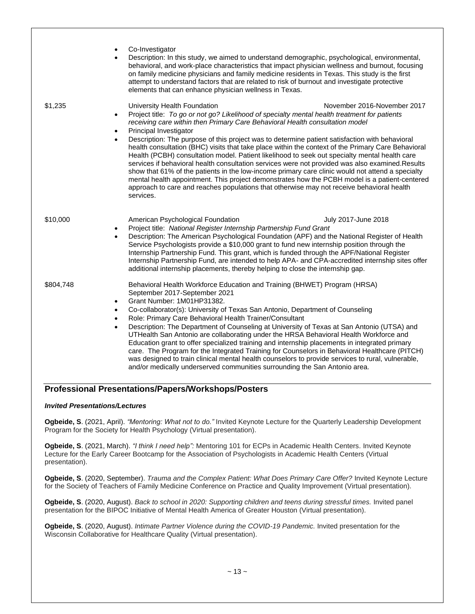|           | Co-Investigator<br>$\bullet$<br>Description: In this study, we aimed to understand demographic, psychological, environmental,<br>$\bullet$<br>behavioral, and work-place characteristics that impact physician wellness and burnout, focusing<br>on family medicine physicians and family medicine residents in Texas. This study is the first<br>attempt to understand factors that are related to risk of burnout and investigate protective<br>elements that can enhance physician wellness in Texas.                                                                                                                                                                                                                                                                                                                                                                                                                                                                                                                                 |
|-----------|------------------------------------------------------------------------------------------------------------------------------------------------------------------------------------------------------------------------------------------------------------------------------------------------------------------------------------------------------------------------------------------------------------------------------------------------------------------------------------------------------------------------------------------------------------------------------------------------------------------------------------------------------------------------------------------------------------------------------------------------------------------------------------------------------------------------------------------------------------------------------------------------------------------------------------------------------------------------------------------------------------------------------------------|
| \$1,235   | University Health Foundation<br>November 2016-November 2017<br>Project title: To go or not go? Likelihood of specialty mental health treatment for patients<br>$\bullet$<br>receiving care within then Primary Care Behavioral Health consultation model<br>Principal Investigator<br>$\bullet$<br>Description: The purpose of this project was to determine patient satisfaction with behavioral<br>$\bullet$<br>health consultation (BHC) visits that take place within the context of the Primary Care Behavioral<br>Health (PCBH) consultation model. Patient likelihood to seek out specialty mental health care<br>services if behavioral health consultation services were not provided was also examined. Results<br>show that 61% of the patients in the low-income primary care clinic would not attend a specialty<br>mental health appointment. This project demonstrates how the PCBH model is a patient-centered<br>approach to care and reaches populations that otherwise may not receive behavioral health<br>services. |
| \$10,000  | American Psychological Foundation<br>July 2017-June 2018<br>Project title: National Register Internship Partnership Fund Grant<br>$\bullet$<br>Description: The American Psychological Foundation (APF) and the National Register of Health<br>Service Psychologists provide a \$10,000 grant to fund new internship position through the<br>Internship Partnership Fund. This grant, which is funded through the APF/National Register<br>Internship Partnership Fund, are intended to help APA- and CPA-accredited internship sites offer<br>additional internship placements, thereby helping to close the internship gap.                                                                                                                                                                                                                                                                                                                                                                                                            |
| \$804,748 | Behavioral Health Workforce Education and Training (BHWET) Program (HRSA)<br>September 2017-September 2021<br>Grant Number: 1M01HP31382.<br>$\bullet$<br>Co-collaborator(s): University of Texas San Antonio, Department of Counseling<br>$\bullet$<br>Role: Primary Care Behavioral Health Trainer/Consultant<br>٠<br>Description: The Department of Counseling at University of Texas at San Antonio (UTSA) and<br>$\bullet$<br>UTHealth San Antonio are collaborating under the HRSA Behavioral Health Workforce and<br>Education grant to offer specialized training and internship placements in integrated primary<br>care. The Program for the Integrated Training for Counselors in Behavioral Healthcare (PITCH)<br>was designed to train clinical mental health counselors to provide services to rural, vulnerable,<br>and/or medically underserved communities surrounding the San Antonio area.                                                                                                                             |

# **Professional Presentations/Papers/Workshops/Posters**

# *Invited Presentations/Lectures*

**Ogbeide, S**. (2021, April). *"Mentoring: What not to do."* Invited Keynote Lecture for the Quarterly Leadership Development Program for the Society for Health Psychology (Virtual presentation).

**Ogbeide, S**. (2021, March). *"I think I need help":* Mentoring 101 for ECPs in Academic Health Centers. Invited Keynote Lecture for the Early Career Bootcamp for the Association of Psychologists in Academic Health Centers (Virtual presentation).

**Ogbeide, S**. (2020, September). *Trauma and the Complex Patient: What Does Primary Care Offer?* Invited Keynote Lecture for the Society of Teachers of Family Medicine Conference on Practice and Quality Improvement (Virtual presentation).

**Ogbeide, S**. (2020, August). *Back to school in 2020: Supporting children and teens during stressful times.* Invited panel presentation for the BIPOC Initiative of Mental Health America of Greater Houston (Virtual presentation).

**Ogbeide, S**. (2020, August). *Intimate Partner Violence during the COVID-19 Pandemic.* Invited presentation for the Wisconsin Collaborative for Healthcare Quality (Virtual presentation).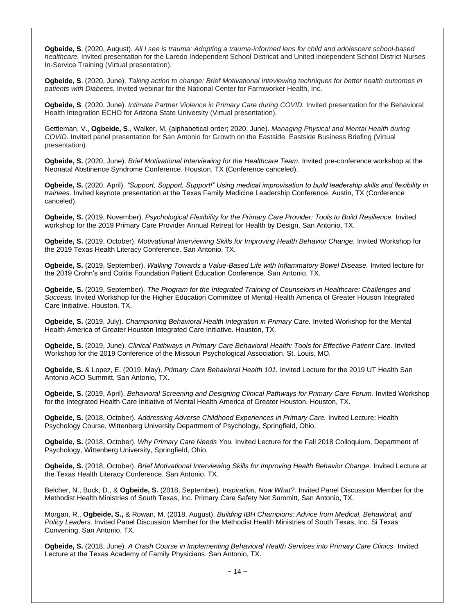**Ogbeide, S**. (2020, August). *All I see is trauma: Adopting a trauma-informed lens for child and adolescent school-based healthcare.* Invited presentation for the Laredo Independent School Districat and United Independent School District Nurses In-Service Training (Virtual presentation).

**Ogbeide, S**. (2020, June). *Taking action to change: Brief Motivational Inteviewing techniques for better health outcomes in patients with Diabetes.* Invited webinar for the National Center for Farmworker Health, Inc.

**Ogbeide, S**. (2020, June). *Intimate Partner Violence in Primary Care during COVID.* Invited presentation for the Behavioral Health Integration ECHO for Arizona State University (Virtual presentation).

Gettleman, V., **Ogbeide, S**., Walker, M. (alphabetical order; 2020, June). *Managing Physical and Mental Health during COVID.* Invited panel presentation for San Antonio for Growth on the Eastside. Eastside Business Briefing (Virtual presentation).

**Ogbeide, S.** (2020, June). *Brief Motivational Interviewing for the Healthcare Team.* Invited pre-conference workshop at the Neonatal Abstinence Syndrome Conference. Houston, TX (Conference canceled).

**Ogbeide, S.** (2020, April). *"Support, Support, Support!" Using medical improvisation to build leadership skills and flexibility in trainees.* Invited keynote presentation at the Texas Family Medicine Leadership Conference. Austin, TX (Conference canceled).

**Ogbeide, S.** (2019, November). *Psychological Flexibility for the Primary Care Provider: Tools to Build Resilience.* Invited workshop for the 2019 Primary Care Provider Annual Retreat for Health by Design. San Antonio, TX.

**Ogbeide, S.** (2019, October). *Motivational Interviewing Skills for Improving Health Behavior Change.* Invited Workshop for the 2019 Texas Health Literacy Conference. San Antonio, TX.

**Ogbeide, S.** (2019, September). *Walking Towards a Value-Based Life with Inflammatory Bowel Disease.* Invited lecture for the 2019 Crohn's and Colitis Foundation Patient Education Conference. San Antonio, TX.

**Ogbeide, S.** (2019, September). *The Program for the Integrated Training of Counselors in Healthcare: Challenges and Success.* Invited Workshop for the Higher Education Committee of Mental Health America of Greater Houson Integrated Care Initiative. Houston, TX.

**Ogbeide, S.** (2019, July). *Championing Behavioral Health Integration in Primary Care.* Invited Workshop for the Mental Health America of Greater Houston Integrated Care Initiative. Houston, TX.

**Ogbeide, S.** (2019, June). *Clinical Pathways in Primary Care Behavioral Health: Tools for Effective Patient Care.* Invited Workshop for the 2019 Conference of the Missouri Psychological Association. St. Louis, MO.

**Ogbeide, S.** & Lopez, E. (2019, May). *Primary Care Behavioral Health 101.* Invited Lecture for the 2019 UT Health San Antonio ACO Summitt, San Antonio, TX.

**Ogbeide, S.** (2019, April). *Behavioral Screening and Designing Clinical Pathways for Primary Care Forum.* Invited Workshop for the Integrated Health Care Initiative of Mental Health America of Greater Houston. Houston, TX.

**Ogbeide, S.** (2018, October). *Addressing Adverse Childhood Experiences in Primary Care.* Invited Lecture: Health Psychology Course, Wittenberg University Department of Psychology, Springfield, Ohio.

**Ogbeide, S.** (2018, October). *Why Primary Care Needs You.* Invited Lecture for the Fall 2018 Colloquium, Department of Psychology, Wittenberg University, Springfield, Ohio.

**Ogbeide, S.** (2018, October). *Brief Motivational Interviewing Skills for Improving Health Behavior Change.* Invited Lecture at the Texas Health Literacy Conference, San Antonio, TX.

Belcher, N., Buck, D., & **Ogbeide, S.** (2018, September). *Inspiration, Now What?.* Invited Panel Discussion Member for the Methodist Health Ministries of South Texas, Inc. Primary Care Safety Net Summitt, San Antonio, TX.

Morgan, R., **Ogbeide, S.,** & Rowan, M. (2018, August). *Building IBH Champions: Advice from Medical, Behavioral, and Policy Leaders.* Invited Panel Discussion Member for the Methodist Health Ministries of South Texas, Inc. Si Texas Convening, San Antonio, TX.

**Ogbeide, S.** (2018, June). *A Crash Course in Implementing Behavioral Health Services into Primary Care Clinics.* Invited Lecture at the Texas Academy of Family Physicians. San Antonio, TX.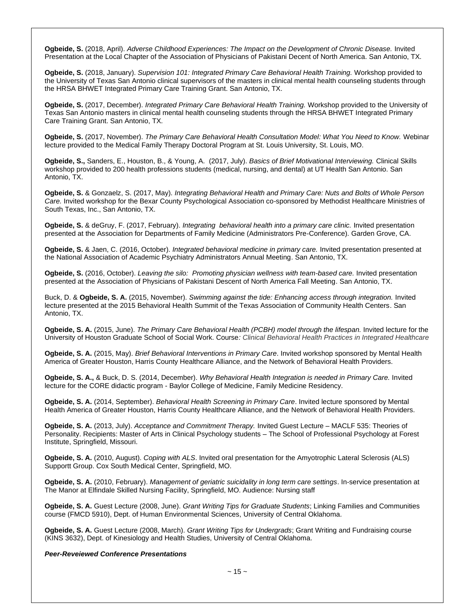**Ogbeide, S.** (2018, April). *Adverse Childhood Experiences: The Impact on the Development of Chronic Disease.* Invited Presentation at the Local Chapter of the Association of Physicians of Pakistani Decent of North America. San Antonio, TX.

**Ogbeide, S.** (2018, January). *Supervision 101: Integrated Primary Care Behavioral Health Training.* Workshop provided to the University of Texas San Antonio clinical supervisors of the masters in clinical mental health counseling students through the HRSA BHWET Integrated Primary Care Training Grant. San Antonio, TX.

**Ogbeide, S.** (2017, December). *Integrated Primary Care Behavioral Health Training.* Workshop provided to the University of Texas San Antonio masters in clinical mental health counseling students through the HRSA BHWET Integrated Primary Care Training Grant. San Antonio, TX.

**Ogbeide, S.** (2017, November). *The Primary Care Behavioral Health Consultation Model: What You Need to Know.* Webinar lecture provided to the Medical Family Therapy Doctoral Program at St. Louis University, St. Louis, MO.

**Ogbeide, S.,** Sanders, E., Houston, B., & Young, A.(2017, July). *Basics of Brief Motivational Interviewing.* Clinical Skills workshop provided to 200 health professions students (medical, nursing, and dental) at UT Health San Antonio. San Antonio, TX.

**Ogbeide, S.** & Gonzaelz, S. (2017, May). *Integrating Behavioral Health and Primary Care: Nuts and Bolts of Whole Person Care.* Invited workshop for the Bexar County Psychological Association co-sponsored by Methodist Healthcare Ministries of South Texas, Inc., San Antonio, TX.

**Ogbeide, S.** & deGruy, F. (2017, February). *Integrating behavioral health into a primary care clinic.* Invited presentation presented at the Association for Departments of Family Medicine (Administrators Pre-Conference). Garden Grove, CA.

**Ogbeide, S.** & Jaen, C. (2016, October). *Integrated behavioral medicine in primary care.* Invited presentation presented at the National Association of Academic Psychiatry Administrators Annual Meeting. San Antonio, TX.

**Ogbeide, S.** (2016, October). *Leaving the silo: Promoting physician wellness with team-based care.* Invited presentation presented at the Association of Physicians of Pakistani Descent of North America Fall Meeting. San Antonio, TX.

Buck, D. & **Ogbeide, S. A.** (2015, November). *Swimming against the tide: Enhancing access through integration.* Invited lecture presented at the 2015 Behavioral Health Summit of the Texas Association of Community Health Centers. San Antonio, TX.

**Ogbeide, S. A.** (2015, June). *The Primary Care Behavioral Health (PCBH) model through the lifespan.* Invited lecture for the University of Houston Graduate School of Social Work. Course*: Clinical Behavioral Health Practices in Integrated Healthcare*

**Ogbeide, S. A.** (2015, May). *Brief Behavioral Interventions in Primary Care*. Invited workshop sponsored by Mental Health America of Greater Houston, Harris County Healthcare Alliance, and the Network of Behavioral Health Providers.

**Ogbeide, S. A.,** & Buck, D. S. (2014, December). *Why Behavioral Health Integration is needed in Primary Care.* Invited lecture for the CORE didactic program - Baylor College of Medicine, Family Medicine Residency.

**Ogbeide, S. A.** (2014, September). *Behavioral Health Screening in Primary Care*. Invited lecture sponsored by Mental Health America of Greater Houston, Harris County Healthcare Alliance, and the Network of Behavioral Health Providers.

**Ogbeide, S. A.** (2013, July). *Acceptance and Commitment Therapy.* Invited Guest Lecture – MACLF 535: Theories of Personality. Recipients: Master of Arts in Clinical Psychology students – The School of Professional Psychology at Forest Institute, Springfield, Missouri.

**Ogbeide, S. A.** (2010, August). *Coping with ALS*. Invited oral presentation for the Amyotrophic Lateral Sclerosis (ALS) Supportt Group. Cox South Medical Center, Springfield, MO.

**Ogbeide, S. A.** (2010, February). *Management of geriatric suicidality in long term care settings*. In-service presentation at The Manor at Elfindale Skilled Nursing Facility, Springfield, MO. Audience: Nursing staff

**Ogbeide, S. A.** Guest Lecture (2008, June). *Grant Writing Tips for Graduate Students*; Linking Families and Communities course (FMCD 5910), Dept. of Human Environmental Sciences, University of Central Oklahoma.

**Ogbeide, S. A.** Guest Lecture (2008, March). *Grant Writing Tips for Undergrads*; Grant Writing and Fundraising course (KINS 3632), Dept. of Kinesiology and Health Studies, University of Central Oklahoma.

#### *Peer-Reveiewed Conference Presentations*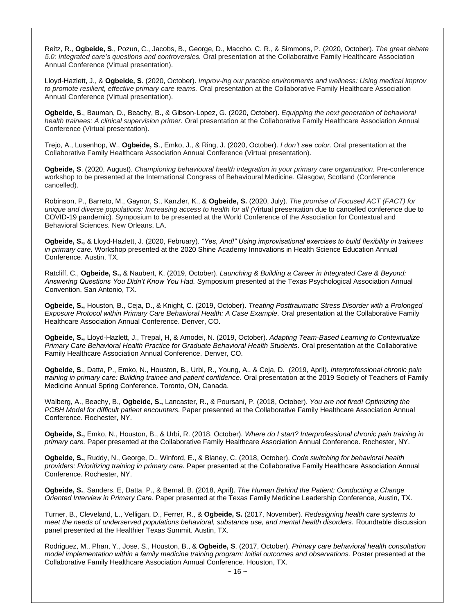Reitz, R., **Ogbeide, S**., Pozun, C., Jacobs, B., George, D., Maccho, C. R., & Simmons, P. (2020, October). *The great debate 5.0: Integrated care's questions and controversies.* Oral presentation at the Collaborative Family Healthcare Association Annual Conference (Virtual presentation).

Lloyd-Hazlett, J., & **Ogbeide, S**. (2020, October). *Improv-ing our practice environments and wellness: Using medical improv to promote resilient, effective primary care teams.* Oral presentation at the Collaborative Family Healthcare Association Annual Conference (Virtual presentation).

**Ogbeide, S**., Bauman, D., Beachy, B., & Gibson-Lopez, G. (2020, October). *Equipping the next generation of behavioral health trainees: A clinical supervision primer.* Oral presentation at the Collaborative Family Healthcare Association Annual Conference (Virtual presentation).

Trejo, A., Lusenhop, W., **Ogbeide, S**., Emko, J., & Ring, J. (2020, October). *I don't see color.* Oral presentation at the Collaborative Family Healthcare Association Annual Conference (Virtual presentation).

**Ogbeide, S**. (2020, August). *Championing behavioural health integration in your primary care organization.* Pre-conference workshop to be presented at the International Congress of Behavioural Medicine. Glasgow, Scotland (Conference cancelled).

Robinson, P., Barreto, M., Gaynor, S., Kanzler, K., & **Ogbeide, S.** (2020, July). *The promise of Focused ACT (FACT) for unique and diverse populations: Increasing access to health for all (*Virtual presentation due to cancelled conference due to COVID-19 pandemic)*.* Symposium to be presented at the World Conference of the Association for Contextual and Behavioral Sciences. New Orleans, LA.

**Ogbeide, S.,** & Lloyd-Hazlett, J. (2020, February). *"Yes, And!" Using improvisational exercises to build flexibility in trainees in primary care.* Workshop presented at the 2020 Shine Academy Innovations in Health Science Education Annual Conference. Austin, TX.

Ratcliff, C., **Ogbeide, S.,** & Naubert, K. (2019, October). *Launching & Building a Career in Integrated Care & Beyond: Answering Questions You Didn't Know You Had.* Symposium presented at the Texas Psychological Association Annual Convention. San Antonio, TX.

**Ogbeide, S.,** Houston, B., Ceja, D., & Knight, C. (2019, October). *Treating Posttraumatic Stress Disorder with a Prolonged Exposure Protocol within Primary Care Behavioral Health: A Case Example.* Oral presentation at the Collaborative Family Healthcare Association Annual Conference. Denver, CO.

**Ogbeide, S.,** Lloyd-Hazlett, J., Trepal, H, & Amodei, N. (2019, October). *Adapting Team-Based Learning to Contextualize Primary Care Behavioral Health Practice for Graduate Behavioral Health Students.* Oral presentation at the Collaborative Family Healthcare Association Annual Conference. Denver, CO.

**Ogbeide, S**., Datta, P., Emko, N., Houston, B., Urbi, R., Young, A., & Ceja, D. (2019, April). *Interprofessional chronic pain training in primary care: Building trainee and patient confidence.* Oral presentation at the 2019 Society of Teachers of Family Medicine Annual Spring Conference. Toronto, ON, Canada.

Walberg, A., Beachy, B., **Ogbeide, S.,** Lancaster, R., & Poursani, P. (2018, October). *You are not fired! Optimizing the PCBH Model for difficult patient encounters.* Paper presented at the Collaborative Family Healthcare Association Annual Conference. Rochester, NY.

**Ogbeide, S.,** Emko, N., Houston, B., & Urbi, R. (2018, October). *Where do I start? Interprofessional chronic pain training in primary care.* Paper presented at the Collaborative Family Healthcare Association Annual Conference. Rochester, NY.

**Ogbeide, S.,** Ruddy, N., George, D., Winford, E., & Blaney, C. (2018, October). *Code switching for behavioral health providers: Prioritizing training in primary care.* Paper presented at the Collaborative Family Healthcare Association Annual Conference. Rochester, NY.

**Ogbeide, S.**, Sanders, E, Datta, P., & Bernal, B. (2018, April). *The Human Behind the Patient: Conducting a Change Oriented Interview in Primary Care.* Paper presented at the Texas Family Medicine Leadership Conference, Austin, TX.

Turner, B., Cleveland, L., Velligan, D., Ferrer, R., & **Ogbeide, S.** (2017, November). *Redesigning health care systems to meet the needs of underserved populations behavioral, substance use, and mental health disorders.* Roundtable discussion panel presented at the Healthier Texas Summit. Austin, TX.

Rodriguez, M., Phan, Y., Jose, S., Houston, B., & **Ogbeide, S**. (2017, October). *Primary care behavioral health consultation model implementation within a family medicine training program: Initial outcomes and observations.* Poster presented at the Collaborative Family Healthcare Association Annual Conference. Houston, TX.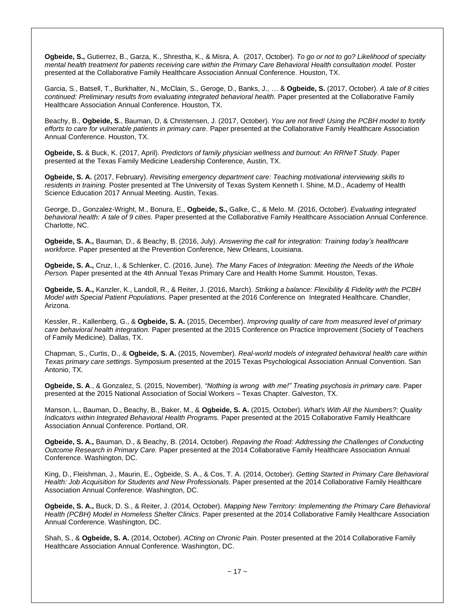**Ogbeide, S.,** Gutierrez, B., Garza, K., Shrestha, K., & Misra, A. (2017, October). *To go or not to go? Likelihood of specialty mental health treatment for patients receiving care within the Primary Care Behavioral Health consultation model.* Poster presented at the Collaborative Family Healthcare Association Annual Conference. Houston, TX.

Garcia, S., Batsell, T., Burkhalter, N., McClain, S., Geroge, D., Banks, J., … & **Ogbeide, S.** (2017, October). *A tale of 8 cities continued: Preliminary results from evaluating integrated behavioral health.* Paper presented at the Collaborative Family Healthcare Association Annual Conference. Houston, TX.

Beachy, B., **Ogbeide, S**., Bauman, D, & Christensen, J. (2017, October). *You are not fired! Using the PCBH model to fortify efforts to care for vulnerable patients in primary care.* Paper presented at the Collaborative Family Healthcare Association Annual Conference. Houston, TX.

**Ogbeide, S.** & Buck, K. (2017, April). *Predictors of family physician wellness and burnout: An RRNeT Study.* Paper presented at the Texas Family Medicine Leadership Conference, Austin, TX.

**Ogbeide, S. A.** (2017, February). *Revisiting emergency department care: Teaching motivational interviewing skills to residents in training.* Poster presented at The University of Texas System Kenneth I. Shine, M.D., Academy of Health Science Education 2017 Annual Meeting. Austin, Texas.

George, D., Gonzalez-Wright, M., Bonura, E., **Ogbeide, S.,** Galke, C., & Melo. M. (2016, October). *Evaluating integrated behavioral health: A tale of 9 cities.* Paper presented at the Collaborative Family Healthcare Association Annual Conference. Charlotte, NC.

**Ogbeide, S. A.,** Bauman, D., & Beachy, B. (2016, July). *Answering the call for integration: Training today's healthcare workforce*. Paper presented at the Prevention Conference, New Orleans, Louisiana.

**Ogbeide, S. A.,** Cruz, I., & Schlenker, C. (2016, June). *The Many Faces of Integration: Meeting the Needs of the Whole Person.* Paper presented at the 4th Annual Texas Primary Care and Health Home Summit. Houston, Texas.

**Ogbeide, S. A.,** Kanzler, K., Landoll, R., & Reiter, J. (2016, March). *Striking a balance: Flexibility & Fidelity with the PCBH Model with Special Patient Populations.* Paper presented at the 2016 Conference on Integrated Healthcare. Chandler, Arizona.

Kessler, R., Kallenberg, G., & **Ogbeide, S. A.** (2015, December). *Improving quality of care from measured level of primary care behavioral health integration.* Paper presented at the 2015 Conference on Practice Improvement (Society of Teachers of Family Medicine). Dallas, TX.

Chapman, S., Curtis, D., & **Ogbeide, S. A.** (2015, November). *Real-world models of integrated behavioral health care within Texas primary care settings*. Symposium presented at the 2015 Texas Psychological Association Annual Convention. San Antonio, TX.

**Ogbeide, S. A**., & Gonzalez, S. (2015, November). *"Nothing is wrong with me!" Treating psychosis in primary care.* Paper presented at the 2015 National Association of Social Workers – Texas Chapter. Galveston, TX.

Manson, L., Bauman, D., Beachy, B., Baker, M., & **Ogbeide, S. A.** (2015, October). *What's With All the Numbers?: Quality Indicators within Integrated Behavioral Health Programs.* Paper presented at the 2015 Collaborative Family Healthcare Association Annual Conference. Portland, OR.

**Ogbeide, S. A.,** Bauman, D., & Beachy, B. (2014, October). *Repaving the Road: Addressing the Challenges of Conducting Outcome Research in Primary Care.* Paper presented at the 2014 Collaborative Family Healthcare Association Annual Conference. Washington, DC.

King, D., Fleishman, J., Maurin, E., Ogbeide, S. A., & Cos, T. A. (2014, October). *Getting Started in Primary Care Behavioral Health: Job Acquisition for Students and New Professionals*. Paper presented at the 2014 Collaborative Family Healthcare Association Annual Conference. Washington, DC.

**Ogbeide, S. A.,** Buck, D. S., & Reiter, J. (2014, October). *Mapping New Territory: Implementing the Primary Care Behavioral Health (PCBH) Model in Homeless Shelter Clinics*. Paper presented at the 2014 Collaborative Family Healthcare Association Annual Conference. Washington, DC.

Shah, S., & **Ogbeide, S. A.** (2014, October). *ACting on Chronic Pain.* Poster presented at the 2014 Collaborative Family Healthcare Association Annual Conference. Washington, DC.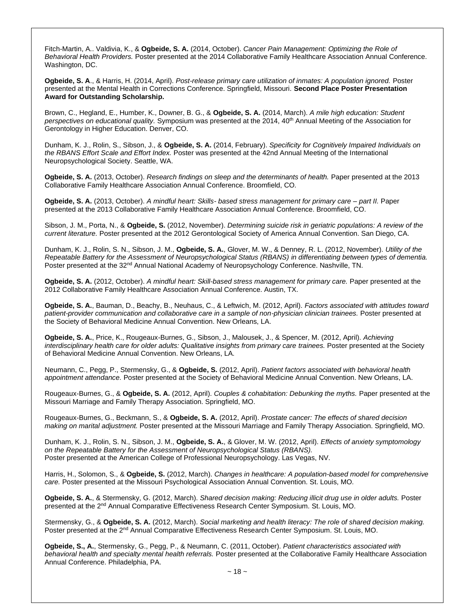Fitch-Martin, A.. Valdivia, K., & **Ogbeide, S. A.** (2014, October). *Cancer Pain Management: Optimizing the Role of Behavioral Health Providers.* Poster presented at the 2014 Collaborative Family Healthcare Association Annual Conference. Washington, DC.

**Ogbeide, S. A**., & Harris, H. (2014, April). *Post-release primary care utilization of inmates: A population ignored.* Poster presented at the Mental Health in Corrections Conference. Springfield, Missouri. **Second Place Poster Presentation Award for Outstanding Scholarship.**

Brown, C., Hegland, E., Humber, K., Downer, B. G., & **Ogbeide, S. A.** (2014, March). *A mile high education: Student perspectives on educational quality.* Symposium was presented at the 2014, 40th Annual Meeting of the Association for Gerontology in Higher Education. Denver, CO.

Dunham, K. J., Rolin, S., Sibson, J., & **Ogbeide, S. A.** (2014, February). *Specificity for Cognitively Impaired Individuals on the RBANS Effort Scale and Effort Index.* Poster was presented at the 42nd Annual Meeting of the International Neuropsychological Society. Seattle, WA.

**Ogbeide, S. A.** (2013, October). *Research findings on sleep and the determinants of health.* Paper presented at the 2013 Collaborative Family Healthcare Association Annual Conference. Broomfield, CO.

**Ogbeide, S. A.** (2013, October). *A mindful heart: Skills- based stress management for primary care – part II.* Paper presented at the 2013 Collaborative Family Healthcare Association Annual Conference. Broomfield, CO.

Sibson, J. M., Porta, N., & **Ogbeide, S.** (2012, November). *Determining suicide risk in geriatric populations: A review of the current literature.* Poster presented at the 2012 Gerontological Society of America Annual Convention. San Diego, CA.

Dunham, K. J., Rolin, S. N., Sibson, J. M., **Ogbeide, S. A.**, Glover, M. W., & Denney, R. L. (2012, November). *Utility of the Repeatable Battery for the Assessment of Neuropsychological Status (RBANS) in differentiating between types of dementia.* Poster presented at the 32<sup>nd</sup> Annual National Academy of Neuropsychology Conference. Nashville, TN.

**Ogbeide, S. A.** (2012, October). *A mindful heart: Skill-based stress management for primary care.* Paper presented at the 2012 Collaborative Family Healthcare Association Annual Conference. Austin, TX.

**Ogbeide, S. A.**, Bauman, D., Beachy, B., Neuhaus, C., & Leftwich, M. (2012, April). *Factors associated with attitudes toward patient-provider communication and collaborative care in a sample of non-physician clinician trainees.* Poster presented at the Society of Behavioral Medicine Annual Convention. New Orleans, LA.

**Ogbeide, S. A.**, Price, K., Rougeaux-Burnes, G., Sibson, J., Malousek, J., & Spencer, M. (2012, April). *Achieving interdisciplinary health care for older adults: Qualitative insights from primary care trainees.* Poster presented at the Society of Behavioral Medicine Annual Convention. New Orleans, LA.

Neumann, C., Pegg, P., Stermensky, G., & **Ogbeide, S.** (2012, April). *Patient factors associated with behavioral health appointment attendance.* Poster presented at the Society of Behavioral Medicine Annual Convention. New Orleans, LA.

Rougeaux-Burnes, G., & **Ogbeide, S. A.** (2012, April). *Couples & cohabitation: Debunking the myths.* Paper presented at the Missouri Marriage and Family Therapy Association. Springfield, MO.

Rougeaux-Burnes, G., Beckmann, S., & **Ogbeide, S. A.** (2012, April). *Prostate cancer: The effects of shared decision making on marital adjustment.* Poster presented at the Missouri Marriage and Family Therapy Association. Springfield, MO.

Dunham, K. J., Rolin, S. N., Sibson, J. M., **Ogbeide, S. A.**, & Glover, M. W. (2012, April). *Effects of anxiety symptomology on the Repeatable Battery for the Assessment of Neuropsychological Status (RBANS).* Poster presented at the American College of Professional Neuropsychology. Las Vegas, NV.

Harris, H., Solomon, S., & **Ogbeide, S.** (2012, March). *Changes in healthcare: A population-based model for comprehensive care.* Poster presented at the Missouri Psychological Association Annual Convention. St. Louis, MO.

**Ogbeide, S. A.**, & Stermensky, G. (2012, March). *Shared decision making: Reducing illicit drug use in older adults.* Poster presented at the 2nd Annual Comparative Effectiveness Research Center Symposium. St. Louis, MO.

Stermensky, G., & **Ogbeide, S. A.** (2012, March). *Social marketing and health literacy: The role of shared decision making.* Poster presented at the 2nd Annual Comparative Effectiveness Research Center Symposium. St. Louis, MO.

**Ogbeide, S., A.**, Stermensky, G., Pegg, P., & Neumann, C. (2011, October). *Patient characteristics associated with behavioral health and specialty mental health referrals.* Poster presented at the Collaborative Family Healthcare Association Annual Conference. Philadelphia, PA.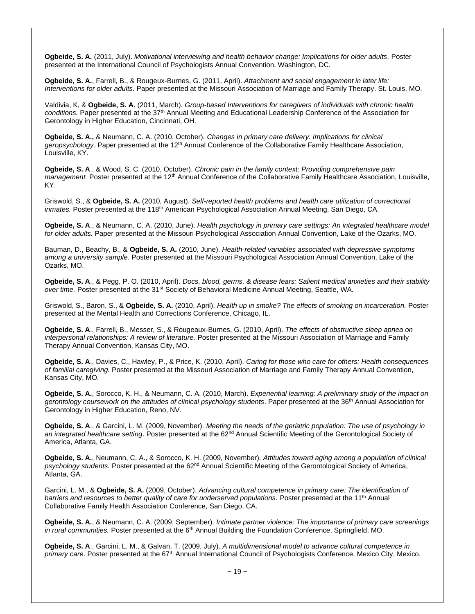**Ogbeide, S. A.** (2011, July). *Motivational interviewing and health behavior change: Implications for older adults.* Poster presented at the International Council of Psychologists Annual Convention. Washington, DC.

**Ogbeide, S. A.**, Farrell, B., & Rougeux-Burnes, G. (2011, April). *Attachment and social engagement in later life: Interventions for older adults.* Paper presented at the Missouri Association of Marriage and Family Therapy. St. Louis, MO.

Valdivia, K, & **Ogbeide, S. A.** (2011, March). *Group-based Interventions for caregivers of individuals with chronic health conditions.* Paper presented at the 37th Annual Meeting and Educational Leadership Conference of the Association for Gerontology in Higher Education, Cincinnati, OH.

**Ogbeide, S. A.,** & Neumann, C. A. (2010, October). *Changes in primary care delivery: Implications for clinical*  geropsychology. Paper presented at the 12<sup>th</sup> Annual Conference of the Collaborative Family Healthcare Association, Louisville, KY.

**Ogbeide, S. A**., & Wood, S. C. (2010, October). *Chronic pain in the family context: Providing comprehensive pain management.* Poster presented at the 12<sup>th</sup> Annual Conference of the Collaborative Family Healthcare Association, Louisville, KY.

Griswold, S., & **Ogbeide, S. A.** (2010, August). *Self-reported health problems and health care utilization of correctional*  inmates. Poster presented at the 118<sup>th</sup> American Psychological Association Annual Meeting, San Diego, CA.

**Ogbeide, S. A**., & Neumann, C. A. (2010, June). *Health psychology in primary care settings: An integrated healthcare model for older adults.* Paper presented at the Missouri Psychological Association Annual Convention, Lake of the Ozarks, MO.

Bauman, D., Beachy, B., & **Ogbeide, S. A.** (2010, June). *Health-related variables associated with depressive symptoms among a university sample.* Poster presented at the Missouri Psychological Association Annual Convention, Lake of the Ozarks, MO.

**Ogbeide, S. A**., & Pegg, P. O. (2010, April). *Docs, blood, germs. & disease fears: Salient medical anxieties and their stability over time.* Poster presented at the 31st Society of Behavioral Medicine Annual Meeting, Seattle, WA.

Griswold, S., Baron, S., & **Ogbeide, S. A.** (2010, April). *Health up in smoke? The effects of smoking on incarceration.* Poster presented at the Mental Health and Corrections Conference, Chicago, IL.

**Ogbeide, S. A**., Farrell, B., Messer, S., & Rougeaux-Burnes, G. (2010, April). *The effects of obstructive sleep apnea on interpersonal relationships: A review of literature.* Poster presented at the Missouri Association of Marriage and Family Therapy Annual Convention, Kansas City, MO.

**Ogbeide, S. A**., Davies, C., Hawley, P., & Price, K. (2010, April). *Caring for those who care for others: Health consequences of familial caregiving.* Poster presented at the Missouri Association of Marriage and Family Therapy Annual Convention, Kansas City, MO.

**Ogbeide, S. A.**, Sorocco, K. H., & Neumann, C. A. (2010, March). *Experiential learning: A preliminary study of the impact on gerontology coursework on the attitudes of clinical psychology students*. Paper presented at the 36th Annual Association for Gerontology in Higher Education, Reno, NV.

**Ogbeide, S. A**., & Garcini, L. M. (2009, November). *Meeting the needs of the geriatric population: The use of psychology in an integrated healthcare setting*. Poster presented at the 62nd Annual Scientific Meeting of the Gerontological Society of America, Atlanta, GA.

**Ogbeide, S. A.**, Neumann, C. A., & Sorocco, K. H. (2009, November). *Attitudes toward aging among a population of clinical psychology students.* Poster presented at the 62nd Annual Scientific Meeting of the Gerontological Society of America, Atlanta, GA.

Garcini, L. M., & **Ogbeide, S. A.** (2009, October). *Advancing cultural competence in primary care: The identification of*  barriers and resources to better quality of care for underserved populations. Poster presented at the 11<sup>th</sup> Annual Collaborative Family Health Association Conference, San Diego, CA.

**Ogbeide, S. A.**, & Neumann, C. A. (2009, September). *Intimate partner violence: The importance of primary care screenings in rural communities.* Poster presented at the 6<sup>th</sup> Annual Building the Foundation Conference, Springfield, MO.

**Ogbeide, S. A**., Garcini, L. M., & Galvan, T. (2009, July). *A multidimensional model to advance cultural competence in primary care*. Poster presented at the 67th Annual International Council of Psychologists Conference. Mexico City, Mexico.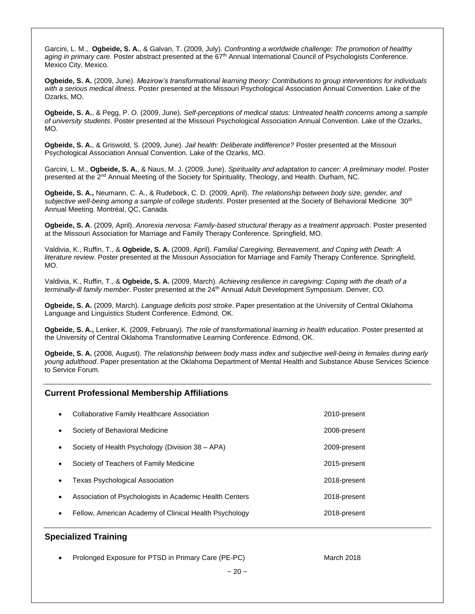Garcini, L. M., **Ogbeide, S. A.**, & Galvan, T. (2009, July). *Confronting a worldwide challenge: The promotion of healthy*  aging in primary care. Poster abstract presented at the 67<sup>th</sup> Annual International Council of Psychologists Conference. Mexico City, Mexico.

**Ogbeide, S. A.** (2009, June). *Mezirow's transformational learning theory: Contributions to group interventions for individuals with a serious medical illness*. Poster presented at the Missouri Psychological Association Annual Convention. Lake of the Ozarks, MO.

**Ogbeide, S. A.**, & Pegg, P. O. (2009, June). *Self-perceptions of medical status: Untreated health concerns among a sample of university students*. Poster presented at the Missouri Psychological Association Annual Convention. Lake of the Ozarks, MO.

**Ogbeide, S. A.**, & Griswold, S. (2009, June). *Jail health: Deliberate indifference?* Poster presented at the Missouri Psychological Association Annual Convention. Lake of the Ozarks, MO.

Garcini, L. M., **Ogbeide, S. A.**, & Naus, M. J. (2009, June). *Spirituality and adaptation to cancer: A preliminary model*. Poster presented at the 2<sup>nd</sup> Annual Meeting of the Society for Spirituality, Theology, and Health. Durham, NC.

**Ogbeide, S. A.,** Neumann, C. A., & Rudebock, C. D. (2009, April). *The relationship between body size, gender, and*  subjective well-being among a sample of college students. Poster presented at the Society of Behavioral Medicine 30<sup>th</sup> Annual Meeting. Montréal, QC, Canada.

**Ogbeide, S. A**. (2009, April). *Anorexia nervosa: Family-based structural therapy as a treatment approach*. Poster presented at the Missouri Association for Marriage and Family Therapy Conference. Springfield, MO.

Valdivia, K., Ruffin, T., & **Ogbeide, S. A.** (2009, April). *Familial Caregiving, Bereavement, and Coping with Death: A literature review*. Poster presented at the Missouri Association for Marriage and Family Therapy Conference. Springfield, MO.

Valdivia, K., Ruffin, T., & **Ogbeide, S. A.** (2009, March). *Achieving resilience in caregiving: Coping with the death of a terminally-ill family member*. Poster presented at the 24th Annual Adult Development Symposium. Denver, CO.

**Ogbeide, S. A.** (2009, March). *Language deficits post stroke*. Paper presentation at the University of Central Oklahoma Language and Linguistics Student Conference. Edmond, OK.

**Ogbeide, S. A.,** Lenker, K. (2009, February). *The role of transformational learning in health education*. Poster presented at the University of Central Oklahoma Transformative Learning Conference. Edmond, OK.

**Ogbeide, S. A.** (2008, August). *The relationship between body mass index and subjective well-being in females during early young adulthood*. Paper presentation at the Oklahoma Department of Mental Health and Substance Abuse Services Science to Service Forum.

### **Current Professional Membership Affiliations**

|           | Collaborative Family Healthcare Association             | 2010-present |
|-----------|---------------------------------------------------------|--------------|
|           | Society of Behavioral Medicine                          | 2008-present |
|           | Society of Health Psychology (Division 38 – APA)        | 2009-present |
|           | Society of Teachers of Family Medicine                  | 2015-present |
| $\bullet$ | <b>Texas Psychological Association</b>                  | 2018-present |
|           | Association of Psychologists in Academic Health Centers | 2018-present |
|           | Fellow, American Academy of Clinical Health Psychology  | 2018-present |
|           |                                                         |              |

# **Specialized Training**

.

.

Prolonged Exposure for PTSD in Primary Care (PE-PC) March 2018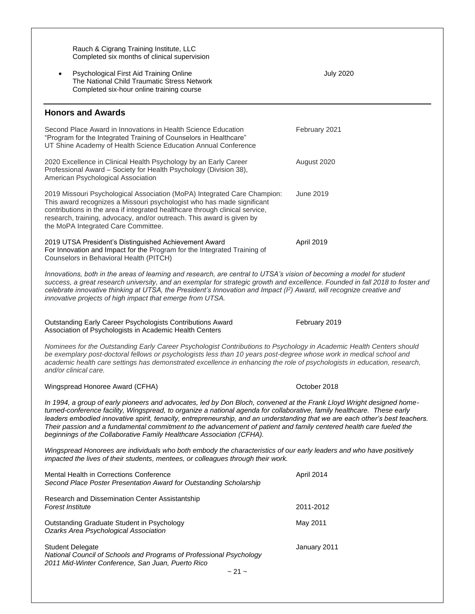| Rauch & Cigrang Training Institute, LLC<br>Completed six months of clinical supervision                                                                                                                                                                                                                                                                                                                                                                                                                                                                                          |                  |  |
|----------------------------------------------------------------------------------------------------------------------------------------------------------------------------------------------------------------------------------------------------------------------------------------------------------------------------------------------------------------------------------------------------------------------------------------------------------------------------------------------------------------------------------------------------------------------------------|------------------|--|
| Psychological First Aid Training Online<br>The National Child Traumatic Stress Network<br>Completed six-hour online training course                                                                                                                                                                                                                                                                                                                                                                                                                                              | <b>July 2020</b> |  |
| <b>Honors and Awards</b>                                                                                                                                                                                                                                                                                                                                                                                                                                                                                                                                                         |                  |  |
| Second Place Award in Innovations in Health Science Education<br>"Program for the Integrated Training of Counselors in Healthcare"<br>UT Shine Academy of Health Science Education Annual Conference                                                                                                                                                                                                                                                                                                                                                                             | February 2021    |  |
| 2020 Excellence in Clinical Health Psychology by an Early Career<br>Professional Award - Society for Health Psychology (Division 38),<br>American Psychological Association                                                                                                                                                                                                                                                                                                                                                                                                      | August 2020      |  |
| 2019 Missouri Psychological Association (MoPA) Integrated Care Champion:<br>This award recognizes a Missouri psychologist who has made significant<br>contributions in the area if integrated healthcare through clinical service,<br>research, training, advocacy, and/or outreach. This award is given by<br>the MoPA Integrated Care Committee.                                                                                                                                                                                                                               | June 2019        |  |
| 2019 UTSA President's Distinguished Achievement Award<br>For Innovation and Impact for the Program for the Integrated Training of<br>Counselors in Behavioral Health (PITCH)                                                                                                                                                                                                                                                                                                                                                                                                     | April 2019       |  |
| Innovations, both in the areas of learning and research, are central to UTSA's vision of becoming a model for student<br>success, a great research university, and an exemplar for strategic growth and excellence. Founded in fall 2018 to foster and<br>celebrate innovative thinking at UTSA, the President's Innovation and Impact $(l^2)$ Award, will recognize creative and<br>innovative projects of high impact that emerge from UTSA.                                                                                                                                   |                  |  |
| Outstanding Early Career Psychologists Contributions Award<br>Association of Psychologists in Academic Health Centers                                                                                                                                                                                                                                                                                                                                                                                                                                                            | February 2019    |  |
| Nominees for the Outstanding Early Career Psychologist Contributions to Psychology in Academic Health Centers should<br>be exemplary post-doctoral fellows or psychologists less than 10 years post-degree whose work in medical school and<br>academic health care settings has demonstrated excellence in enhancing the role of psychologists in education, research,<br>and/or clinical care.                                                                                                                                                                                 |                  |  |
| Wingspread Honoree Award (CFHA)                                                                                                                                                                                                                                                                                                                                                                                                                                                                                                                                                  | October 2018     |  |
| In 1994, a group of early pioneers and advocates, led by Don Bloch, convened at the Frank Lloyd Wright designed home-<br>turned-conference facility, Wingspread, to organize a national agenda for collaborative, family healthcare. These early<br>leaders embodied innovative spirit, tenacity, entrepreneurship, and an understanding that we are each other's best teachers.<br>Their passion and a fundamental commitment to the advancement of patient and family centered health care fueled the<br>beginnings of the Collaborative Family Healthcare Association (CFHA). |                  |  |
| Wingspread Honorees are individuals who both embody the characteristics of our early leaders and who have positively<br>impacted the lives of their students, mentees, or colleagues through their work.                                                                                                                                                                                                                                                                                                                                                                         |                  |  |
| Mental Health in Corrections Conference<br>Second Place Poster Presentation Award for Outstanding Scholarship                                                                                                                                                                                                                                                                                                                                                                                                                                                                    | April 2014       |  |
| Research and Dissemination Center Assistantship<br>Forest Institute                                                                                                                                                                                                                                                                                                                                                                                                                                                                                                              | 2011-2012        |  |
| Outstanding Graduate Student in Psychology<br>Ozarks Area Psychological Association                                                                                                                                                                                                                                                                                                                                                                                                                                                                                              | May 2011         |  |
| <b>Student Delegate</b><br>National Council of Schools and Programs of Professional Psychology<br>2011 Mid-Winter Conference, San Juan, Puerto Rico<br>$\sim$ 21 $\sim$                                                                                                                                                                                                                                                                                                                                                                                                          | January 2011     |  |